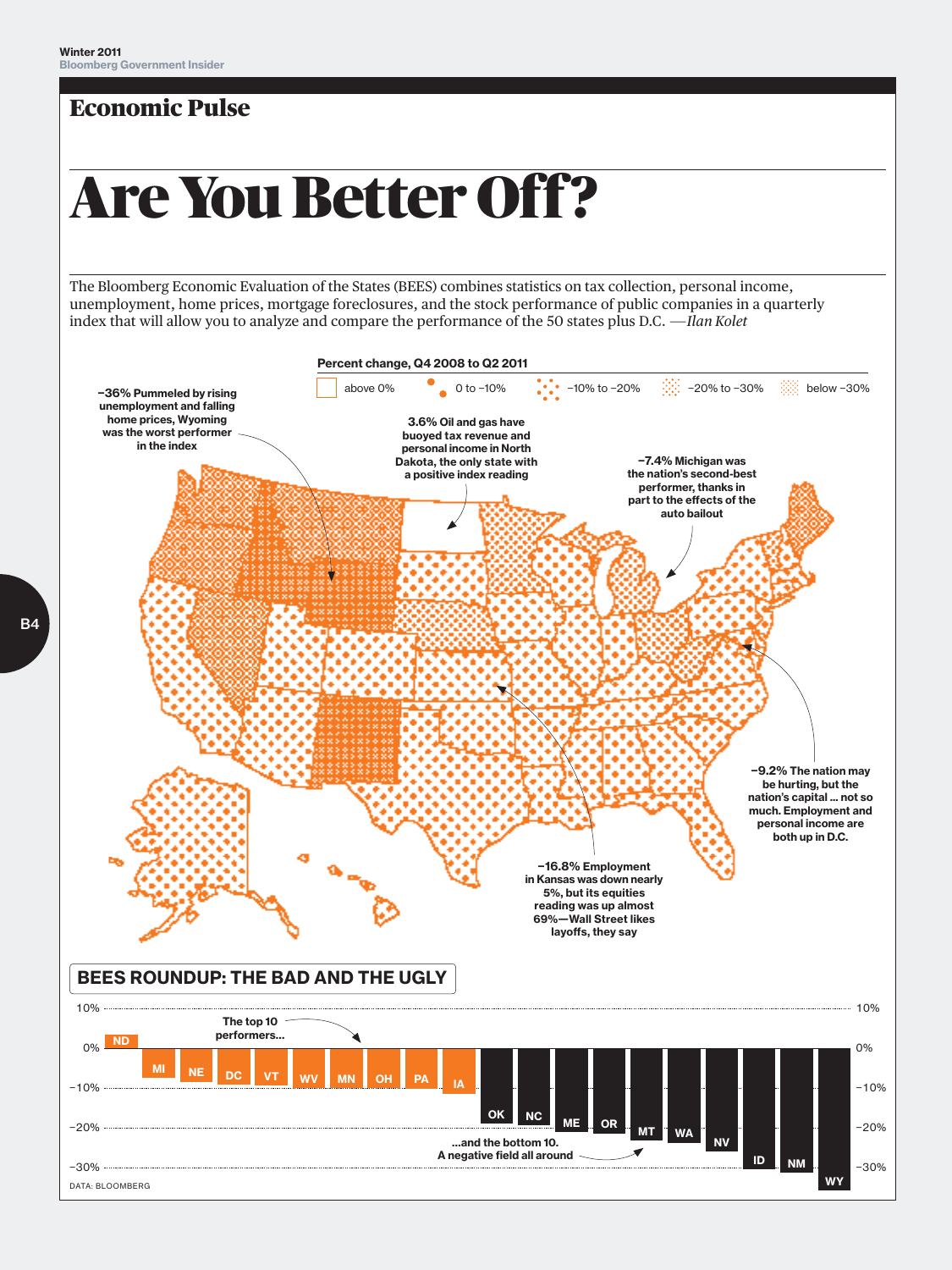# Economic Pulse

# Are You Better Off?

The Bloomberg Economic Evaluation of the States (BEES) combines statistics on tax collection, personal income, unemployment, home prices, mortgage foreclosures, and the stock performance of public companies in a quarterly index that will allow you to analyze and compare the performance of the 50 states plus D.C. ——*Ilan Kolet*

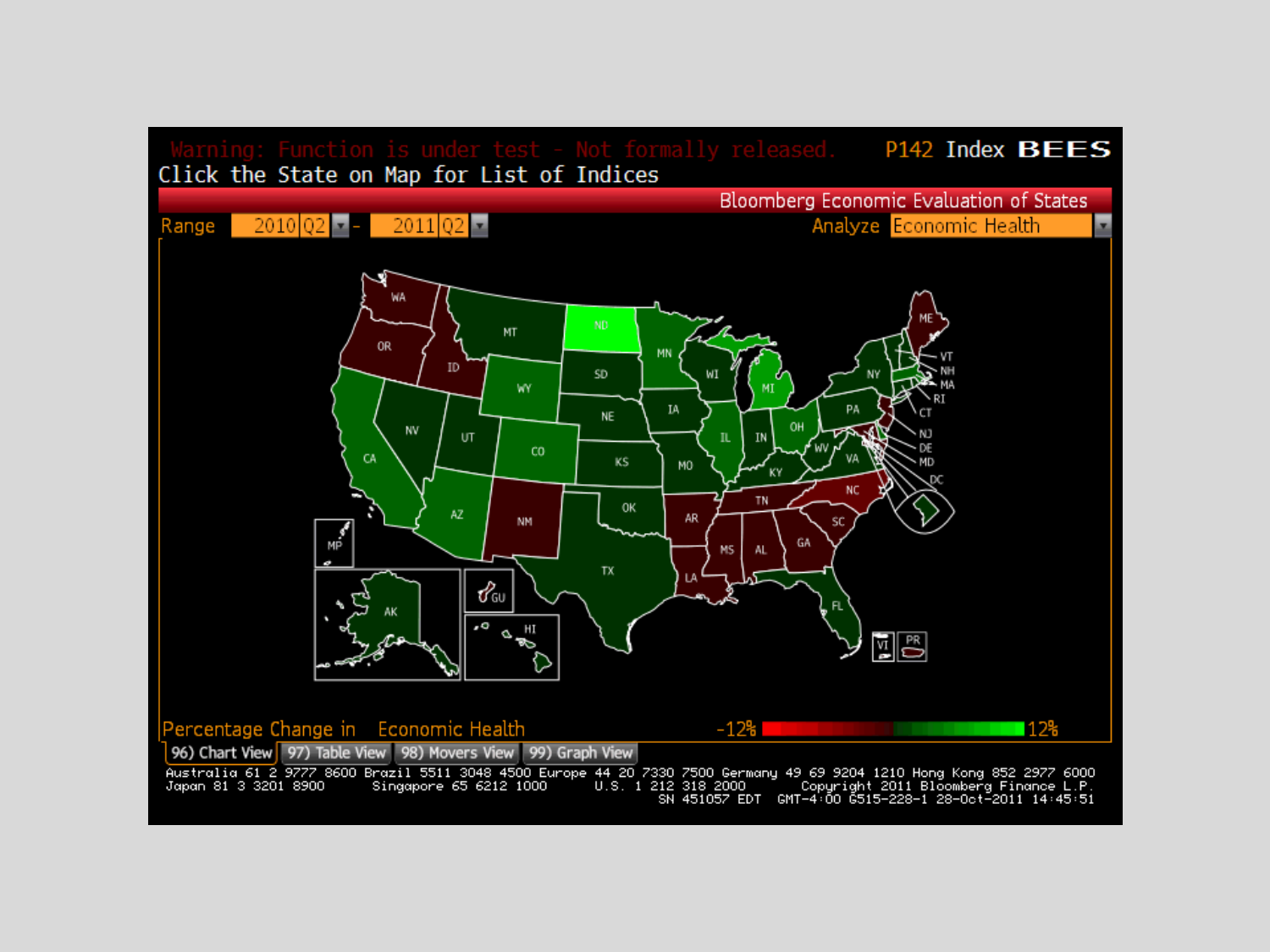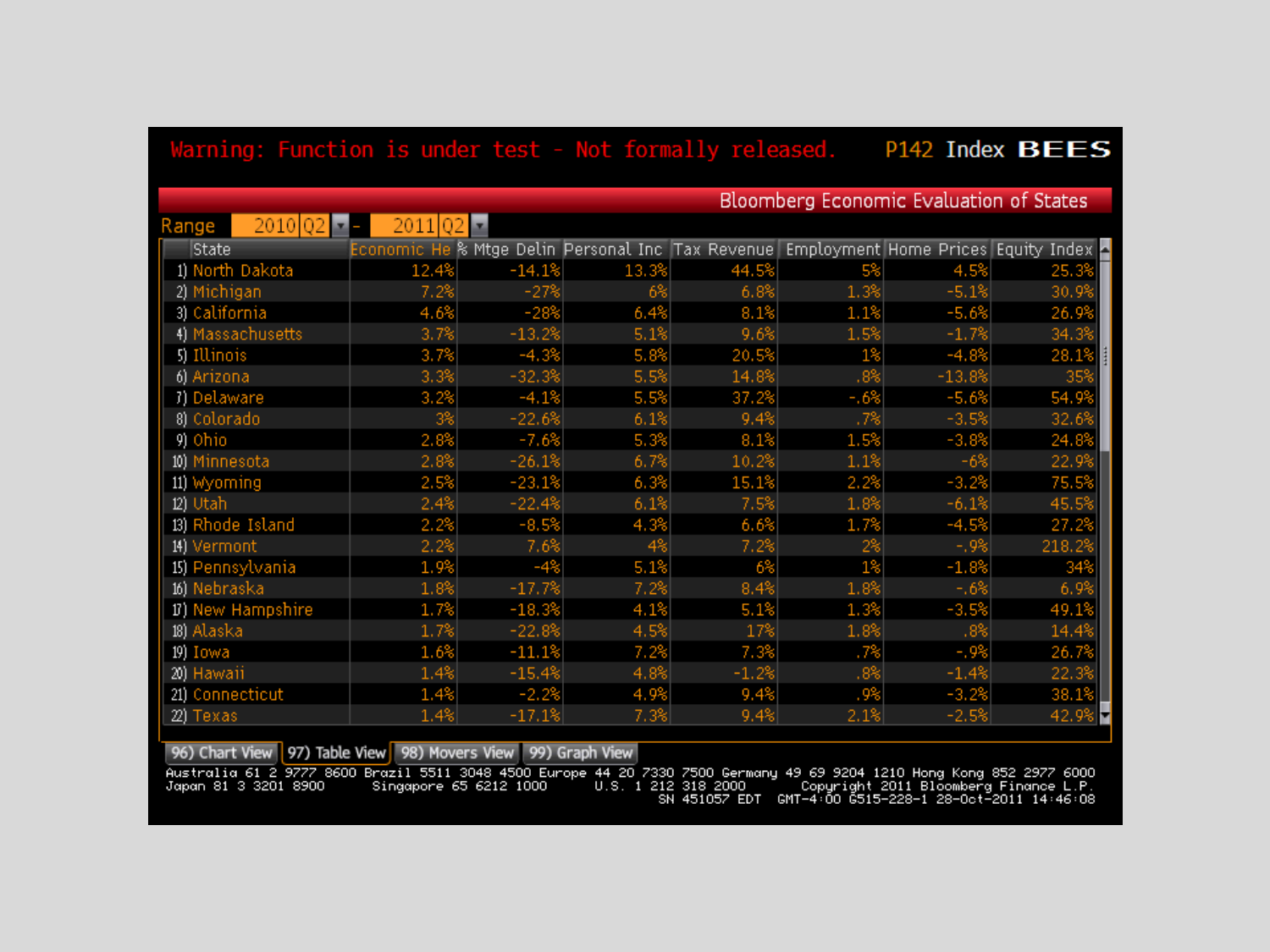## Warning: Function is under test - Not formally released. P142 Index BEES

| Bloomberg Economic Evaluation of States |                              |               |          |       |         |                |          |                                                                           |
|-----------------------------------------|------------------------------|---------------|----------|-------|---------|----------------|----------|---------------------------------------------------------------------------|
| Range                                   | $2010$ Q <sup>2</sup> $\geq$ | $2011$ $Q2 -$ |          |       |         |                |          |                                                                           |
|                                         | State                        | Economic He   |          |       |         |                |          | % Mtge Delin Personal Inc Tax Revenue Employment Home Prices Equity Index |
|                                         | 1) North Dakota              | 12.4%         | $-14.1%$ | 13.3% | 44.5%   | 5 <sup>°</sup> | 4.5%     | 25.3%                                                                     |
|                                         | 2) Michigan                  | 7.2%          | $-27%$   | 6%    | 6.8%    | 1.3%           | $-5.1%$  | 30.9%                                                                     |
|                                         | 3) California                | 4.6%          | $-28%$   | 6.4%  | 8.1%    | 1.1%           | $-5.6%$  | 26.9%                                                                     |
|                                         | 4) Massachusetts             | 3.7%          | $-13.2%$ | 5.1%  | 9.6%    | 1.5%           | $-1.7%$  | 34.3%                                                                     |
|                                         | 5) Illinois                  | 3.7%          | $-4.3%$  | 5.8%  | 20.5%   | $1\%$          | $-4.8%$  | 28.1%                                                                     |
|                                         | 6) Arizona                   | 3.3%          | $-32.3%$ | 5.5%  | 14.8%   | .8%            | $-13.8%$ | 35%                                                                       |
|                                         | 7) Delaware                  | 3.2%          | $-4.1%$  | 5.5%  | 37.2%   | $-6%$          | $-5.6%$  | 54.9%                                                                     |
|                                         | 8) Colorado                  |               | $-22.6%$ | 6.1%  | 9.4%    |                | $-3.5%$  | 32.6%                                                                     |
|                                         | 9) Ohio                      | 2.8%          | $-7.6%$  | 5.3%  | 8.1%    | 1.5%           | $-3.8%$  | 24.8%                                                                     |
|                                         | 10) Minnesota                | 2.8%          | $-26.1%$ | 6.7%  | 10.2%   | 1.1%           | -6%      | 22.9%                                                                     |
|                                         | 11) Wyoming                  | 2.5%          | $-23.1%$ | 6.3%  | 15.1%   | 2.2%           | $-3.2%$  | 75.5%                                                                     |
|                                         | 12) Utah                     | 2.4%          | $-22.4%$ | 6.1%  | 7.5%    | 1.8%           | $-6.1%$  | 45.5%                                                                     |
|                                         | 13) Rhode Island             | 2.2%          | $-8.5%$  | 4.3%  | 6.6%    | 1.7%           | $-4.5%$  | 27.2%                                                                     |
|                                         | 14) Vermont                  | 2.2%          | 7.6%     |       | 7.2%    | $2\%$          | -,9%     | 218.2%                                                                    |
|                                         | 15) Pennsylvania             | 1.9%          | $-4%$    | 5.1%  | 6%      | $1\%$          | $-1.8%$  | 34%                                                                       |
|                                         | 16) Nebraska                 | 1.8%          | $-17.7%$ | 7.2%  | 8.4%    | 1.8%           | -.6%     | 6.9%                                                                      |
|                                         | 17) New Hampshire            | 1.7%          | $-18.3%$ | 4.1%  | 5.1%    | 1.3%           | $-3.5%$  | 49.1%                                                                     |
|                                         | 18) Alaska                   | 1.7%          | $-22.8%$ | 4.5%  | 17%     | 1.8%           | .8%      | 14.4%                                                                     |
|                                         | 19) Iowa                     | 1.6%          | $-11.1%$ | 7.2%  | 7.3%    | .7%            | -,9%     | 26.7%                                                                     |
|                                         | 20) Hawaii                   | 1.4%          | $-15.4%$ | 4.8%  | $-1.2%$ | .8%            | $-1.4%$  | 22.3%                                                                     |
|                                         | 21) Connecticut              | 1.4%          | $-2.2%$  | 4.9%  | 9.4%    | .9%            | $-3.2%$  | 38.1%                                                                     |
|                                         | 22) Texas                    | 1.4%          | $-17.1%$ | 7.3%  | 9.4%    | 2.1%           | $-2.5%$  | 42.9%                                                                     |

96) Chart View 97) Table View 98) Movers View 99) Graph View

Australia 61 2 9777 8600 Brazil 5511 3048 4500 Europe 44 20 7330 7500 Germany 49 69 9204 1210 Hong Kong 852 2977 6000<br>Japan 81 3 3201 8900 Singapore 65 6212 1000 U.S. 1 212 318 2000 Copyright 2011 Bloombe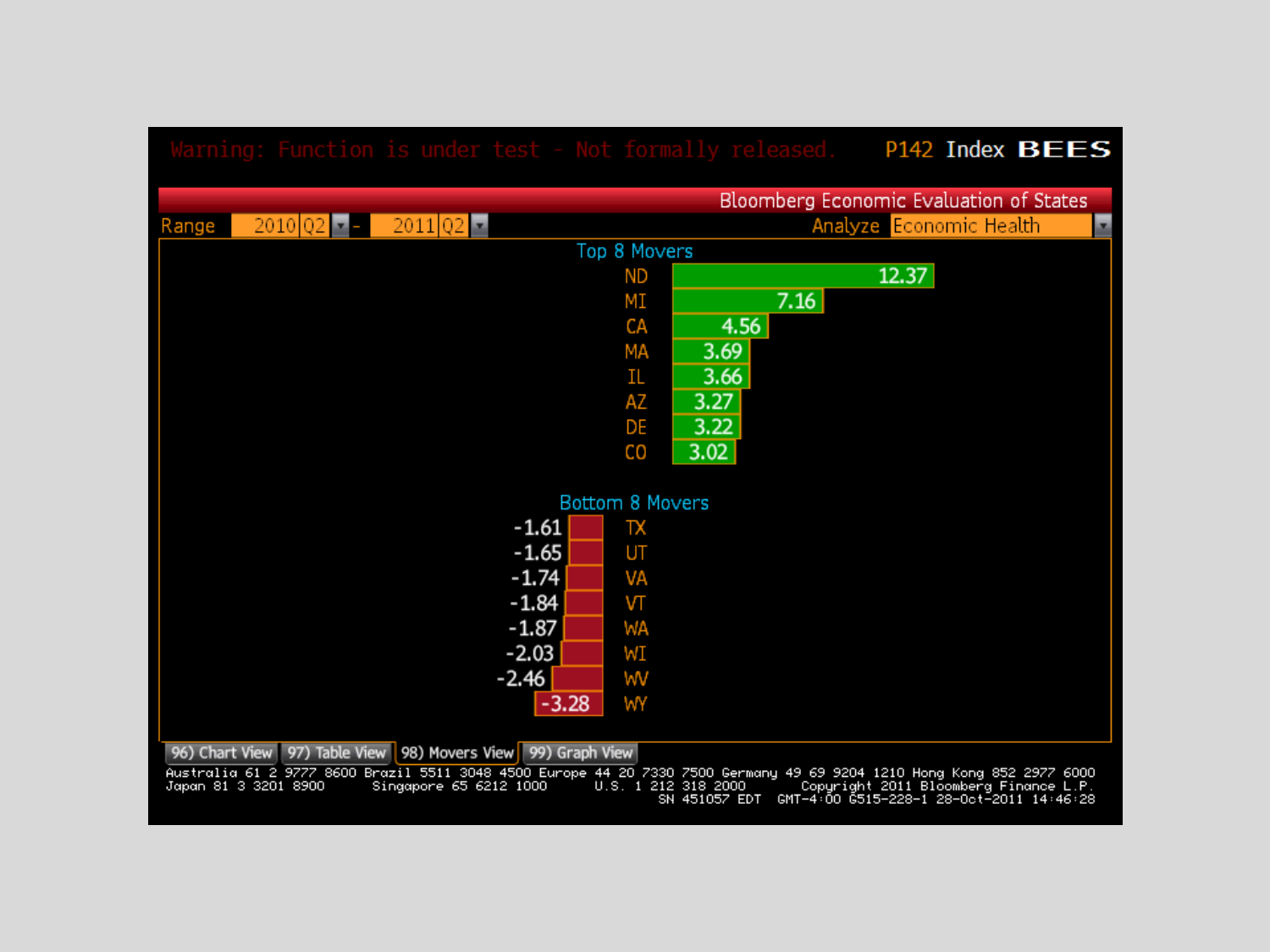### P142 Index BEES

|                                                                                                                                                                         | Bloomberg Economic Evaluation of States                                                                                   |
|-------------------------------------------------------------------------------------------------------------------------------------------------------------------------|---------------------------------------------------------------------------------------------------------------------------|
| 2011 Q2<br>Range<br>2010 Q2                                                                                                                                             | Analyze Economic Health<br>×                                                                                              |
| Top 8 Movers                                                                                                                                                            |                                                                                                                           |
| <b>ND</b>                                                                                                                                                               | 12.37                                                                                                                     |
| МI                                                                                                                                                                      | 7.16                                                                                                                      |
| CA                                                                                                                                                                      | 4.56                                                                                                                      |
| MA                                                                                                                                                                      | 3.69                                                                                                                      |
| IL                                                                                                                                                                      | 3.66                                                                                                                      |
| AZ                                                                                                                                                                      | 3.27                                                                                                                      |
| DE                                                                                                                                                                      | 3.22                                                                                                                      |
| CO                                                                                                                                                                      | 3.02                                                                                                                      |
|                                                                                                                                                                         |                                                                                                                           |
| Bottom 8 Movers                                                                                                                                                         |                                                                                                                           |
| $-1.61$<br>TX                                                                                                                                                           |                                                                                                                           |
| UT<br>$-1.65$                                                                                                                                                           |                                                                                                                           |
| $-1.74$<br>VA                                                                                                                                                           |                                                                                                                           |
| $-1.84$<br>VT                                                                                                                                                           |                                                                                                                           |
| WA<br>$-1.87$                                                                                                                                                           |                                                                                                                           |
| WI<br>$-2.03$                                                                                                                                                           |                                                                                                                           |
| W<br>$-2.46$                                                                                                                                                            |                                                                                                                           |
| $-3.28$<br>WY                                                                                                                                                           |                                                                                                                           |
|                                                                                                                                                                         |                                                                                                                           |
| 96) Chart View 97) Table View<br>98) Movers View 99) Graph View                                                                                                         |                                                                                                                           |
| Australia 61 2 9777 8600 Brazil 5511 3048 4500 Europe 44 20 7330 7500 Germany 49 69 9204 1210 Hong Kong 852 2977 6000<br>Japan 81 3 3201 8900<br>Singapore 65 6212 1000 | U.S. 1 212 318 2000<br>Copyright 2011 Bloomberg Finance L.P.<br>GMT-4:00 G515-228-1 28-0ct-2011 14:46:28<br>SN 451057 EDT |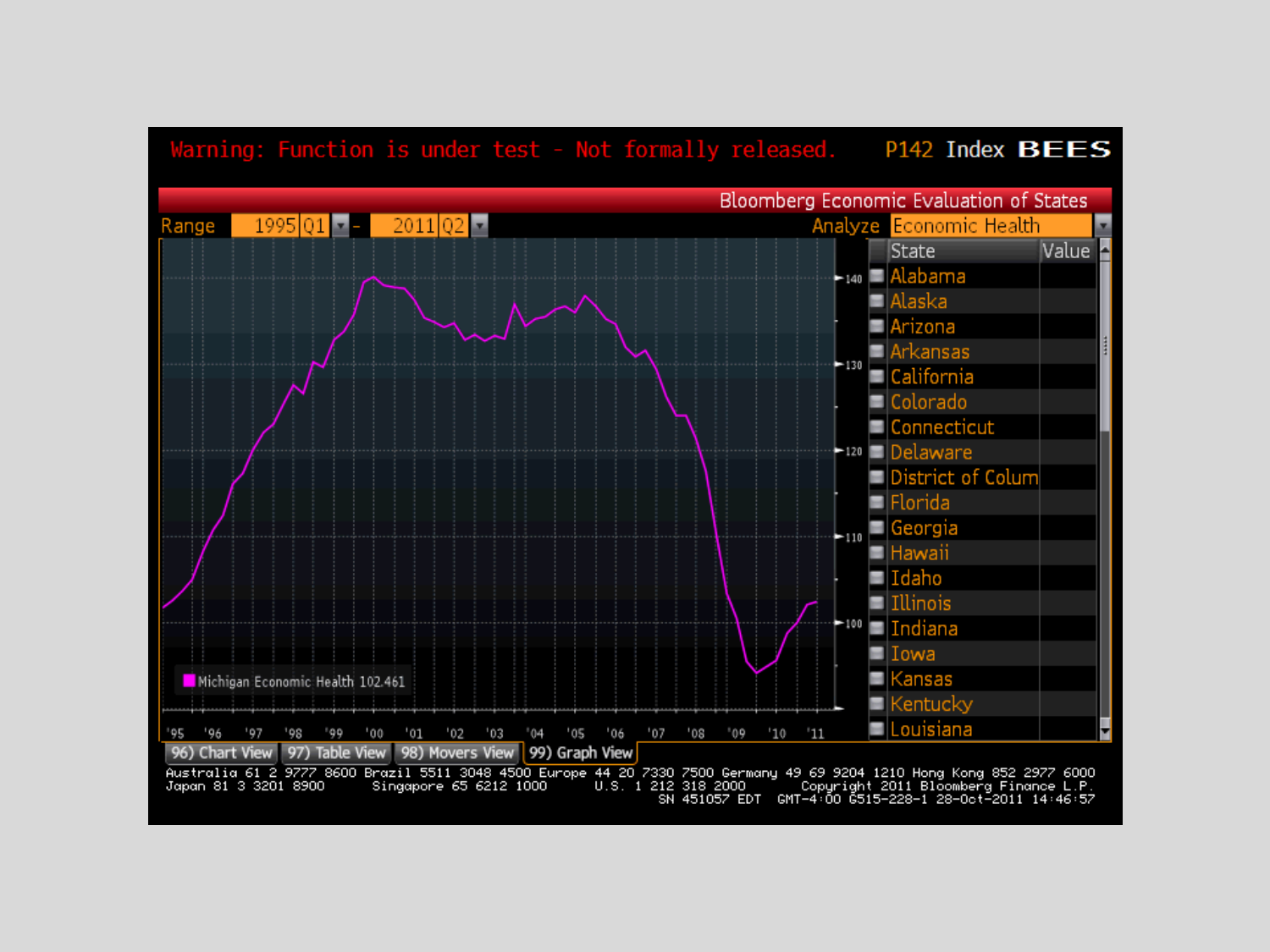#### Warning: Function is under test - Not formally released. P142 Index BEES

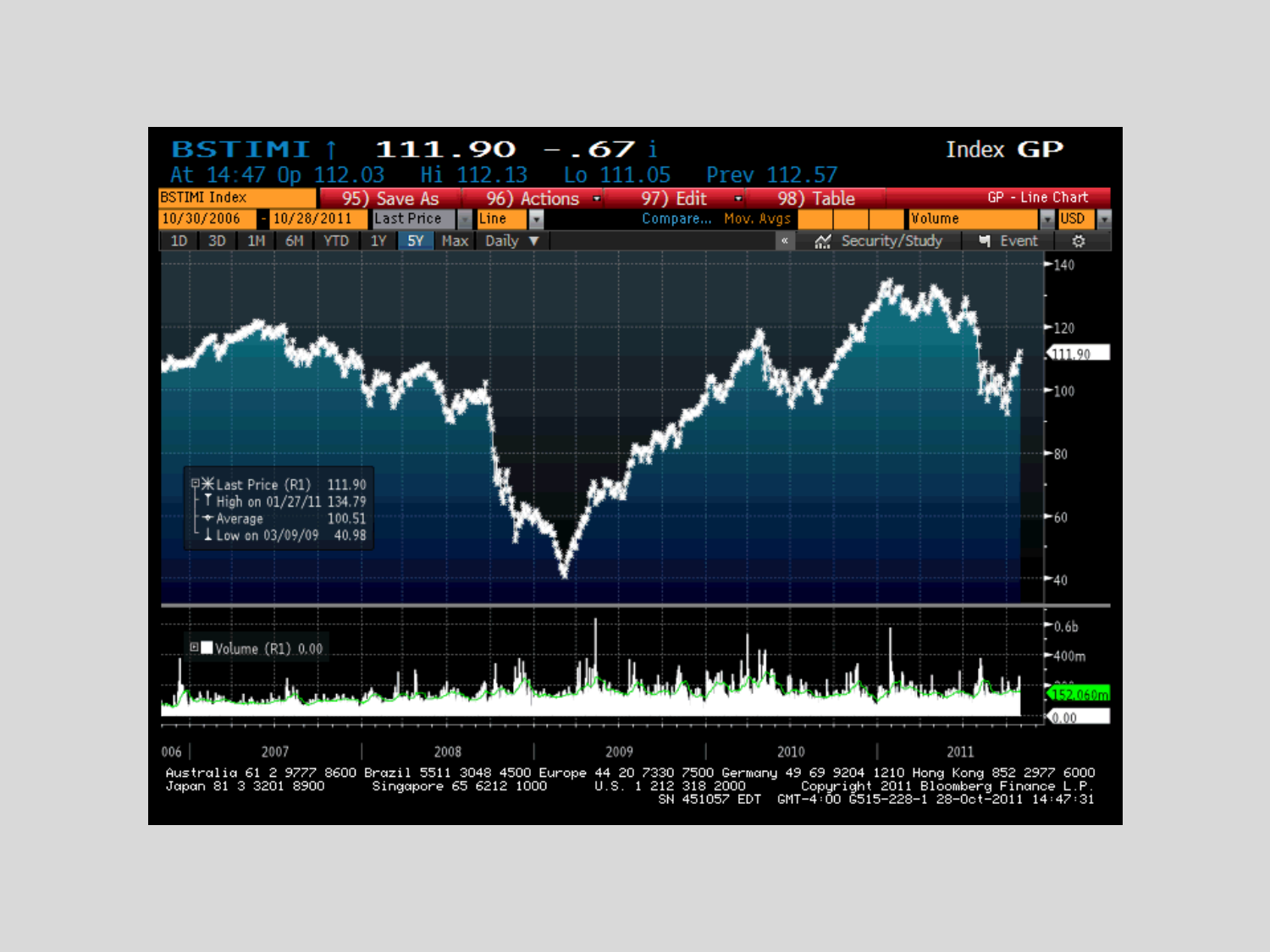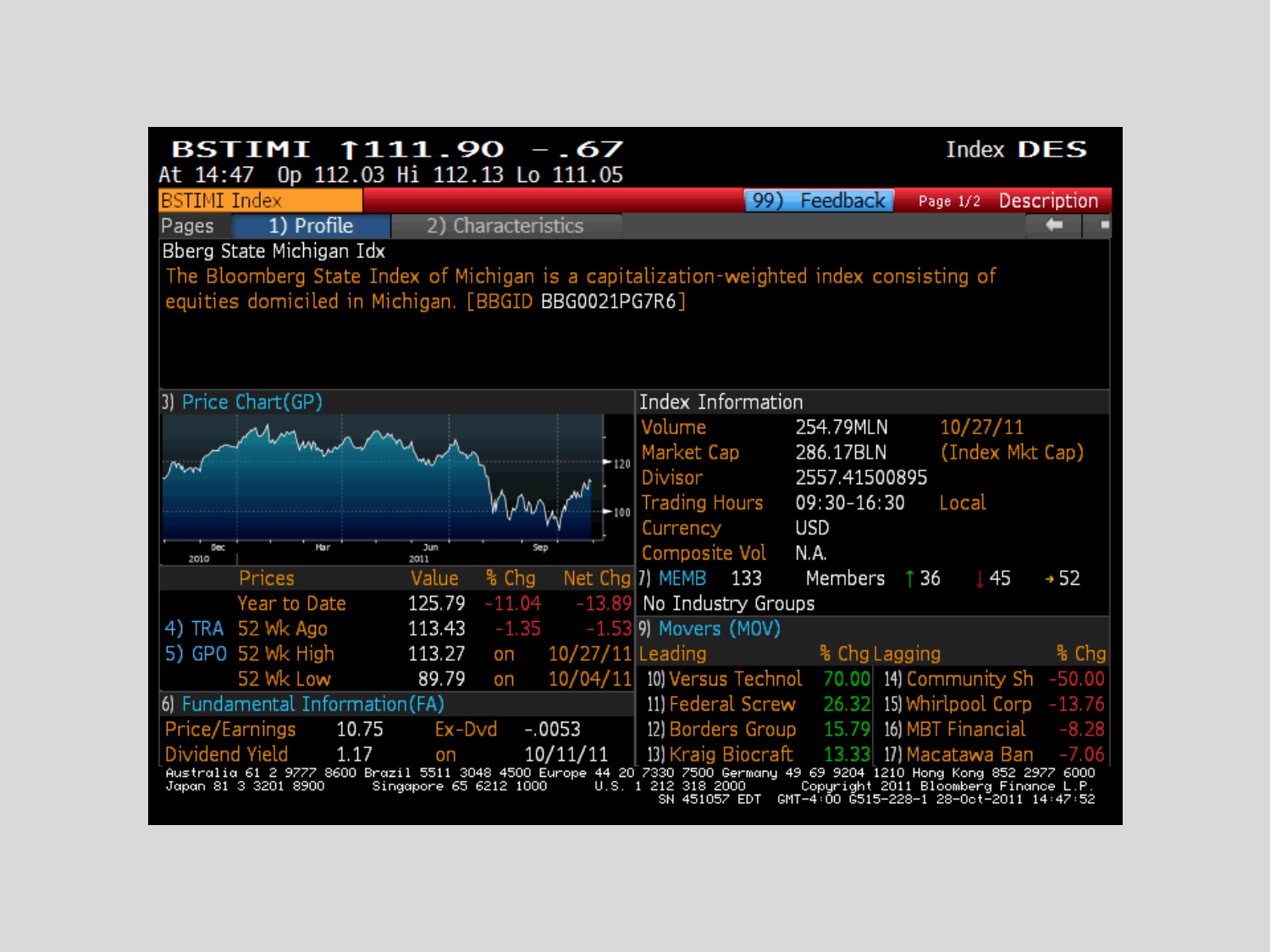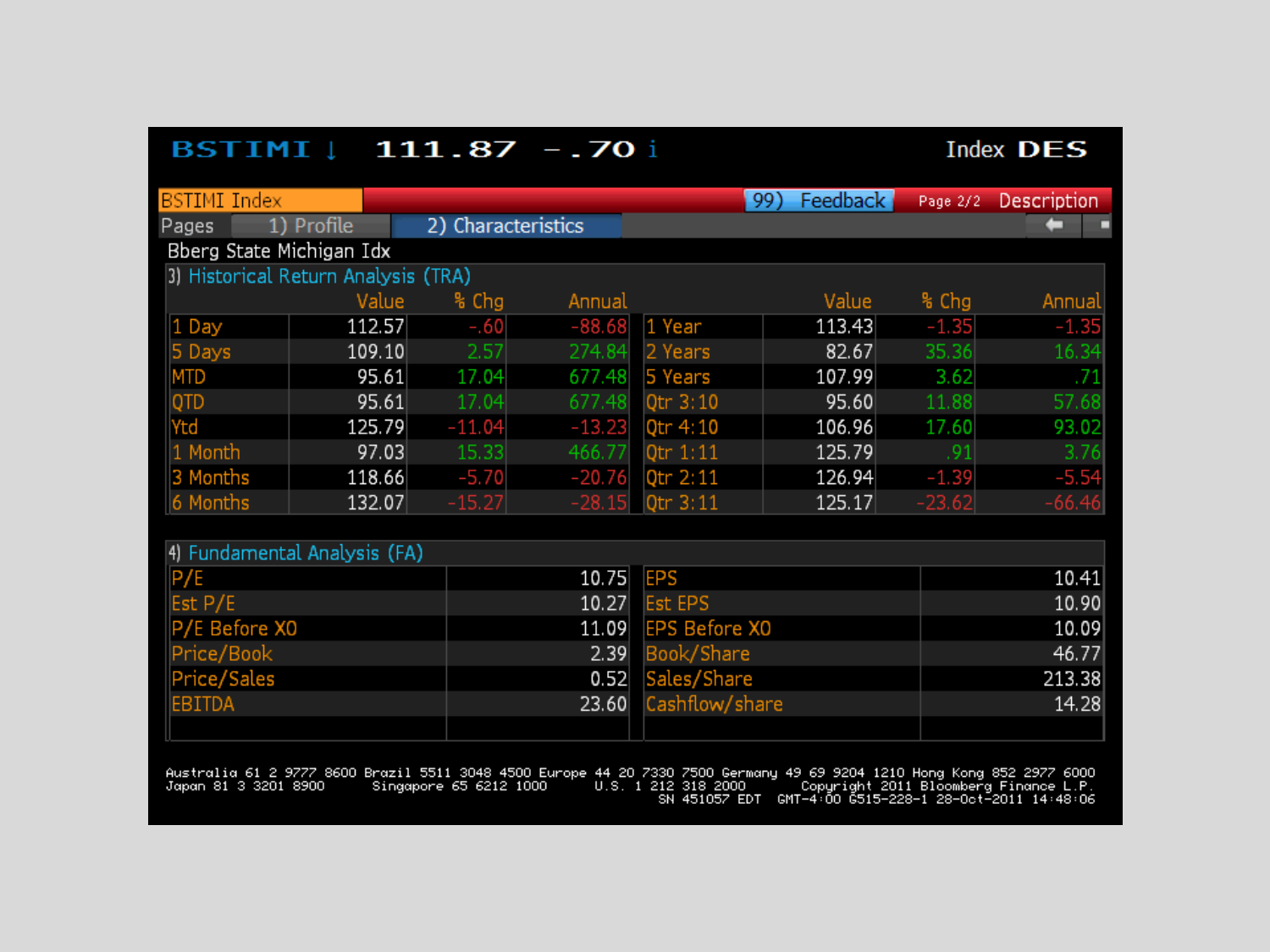#### BSTIMI | 111.87 - .70 i

Index DES

| BSTIMI Index  |                          |                                     |                    |                     |                      | 99) | Feedback | Page 2/2 | Description |  |
|---------------|--------------------------|-------------------------------------|--------------------|---------------------|----------------------|-----|----------|----------|-------------|--|
| Pages         | 1) Profile               |                                     | 2) Characteristics |                     |                      |     |          |          |             |  |
|               | Bberg State Michigan Idx |                                     |                    |                     |                      |     |          |          |             |  |
|               |                          | 3) Historical Return Analysis (TRA) |                    |                     |                      |     |          |          |             |  |
|               |                          | Value                               | % Chg              | Annual              |                      |     | Value    | % Chg    | Annual      |  |
| 1 Day         |                          | 112.57                              | $-.60$             | $-88.68$            | 1 Year               |     | 113.43   | $-1.35$  | $-1.35$     |  |
| 5 Days        |                          | 109.10                              | 2.57               | 274.84              | 2 Years              |     | 82.67    | 35.36    | 16.34       |  |
| <b>MTD</b>    |                          | 95.61                               | 17.04              | 677.48              | 5 Years              |     | 107.99   | 3.62     | .71         |  |
| QTD           |                          | 95.61                               | 17.04              | 677.48              | Otr $3:10$           |     | 95.60    | 11.88    | 57.68       |  |
| Ytd           |                          | 125.79                              | $-11.04$           | $-13.23$            | Qtr 4:10             |     | 106.96   | 17.60    | 93.02       |  |
| 1 Month       |                          | 97.03                               | 15.33              | 466.77              | Qtr 1:11             |     | 125.79   | .91      | 3.76        |  |
| 3 Months      |                          | 118.66                              | $-5.70$            | $-20.76$            | Qtr 2:11             |     | 126.94   | $-1.39$  | $-5.54$     |  |
| 6 Months      |                          | 132.07                              | $-15.27$           | $-28.15$            | Qtr 3:11             |     | 125.17   | $-23.62$ | $-66.46$    |  |
|               |                          |                                     |                    |                     |                      |     |          |          |             |  |
|               |                          | 4) Fundamental Analysis (FA)        |                    |                     |                      |     |          |          |             |  |
| P/E           |                          |                                     |                    | <b>EPS</b><br>10.75 |                      |     |          |          | 10.41       |  |
| Est P/E       |                          |                                     |                    | 10.27               | <b>Est EPS</b>       |     |          | 10.90    |             |  |
| P/E Before XO |                          |                                     |                    | 11.09               | <b>EPS Before XO</b> |     |          | 10.09    |             |  |
| Price/Book    |                          |                                     |                    | 2.39                | Book/Share           |     |          | 46.77    |             |  |
| Price/Sales   |                          |                                     |                    | 0.52                | Sales/Share          |     |          |          | 213.38      |  |
| EBITDA        |                          |                                     |                    | 23.60               | Cashflow/share       |     | 14.28    |          |             |  |
|               |                          |                                     |                    |                     |                      |     |          |          |             |  |

Australia 61 2 9777 8600 Brazil 5511 3048 4500 Europe 44 20 7330 7500 Germany 49 69 9204 1210 Hong Kong 852 2977<br>Japan 81 3 3201 8900 Singapore 65 6212 1000 U.S. 1 212 318 2000 Copyright 2011 Bloomberg